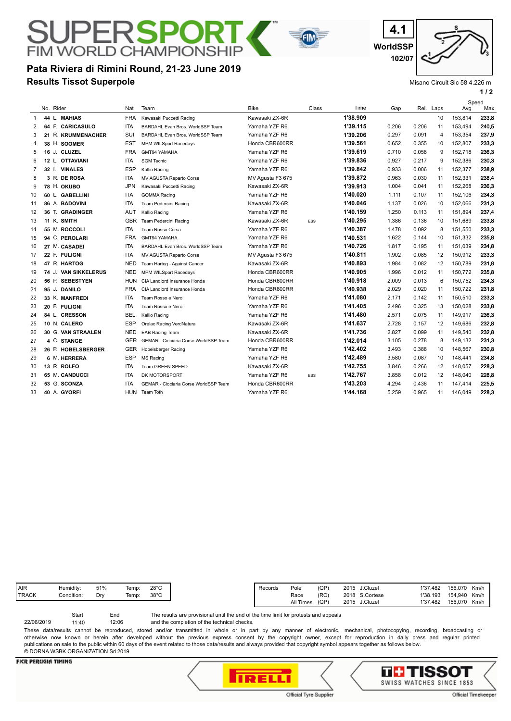## **Results Tissot Superpole Pata Riviera di Rimini Round, 21-23 June 2019**

**FIM WORLD CHAMPIONSHIP** 

**WorldSSP 4.1 102/07**

Misano Circuit Sic 58 4.226 m

**1 / 2**

|                |  |                           |            |                                              |                  |            |          |       |       |      | Speed   |       |
|----------------|--|---------------------------|------------|----------------------------------------------|------------------|------------|----------|-------|-------|------|---------|-------|
|                |  | No. Rider                 | Nat        | Team                                         | <b>Bike</b>      | Class      | Time     | Gap   | Rel.  | Laps | Avg     | Max   |
| -1             |  | 44 L. MAHIAS              | <b>FRA</b> | Kawasaki Puccetti Racing                     | Kawasaki ZX-6R   |            | 1'38.909 |       |       | 10   | 153,814 | 233,8 |
| 2              |  | 64 F. CARICASULO          | <b>ITA</b> | BARDAHL Evan Bros, WorldSSP Team             | Yamaha YZF R6    |            | 1'39.115 | 0.206 | 0.206 | 11   | 153.494 | 240,5 |
| 3              |  | 21 R. KRUMMENACHER        | SUI        | BARDAHL Evan Bros, WorldSSP Team             | Yamaha YZF R6    |            | 1'39.206 | 0.297 | 0.091 | 4    | 153,354 | 237,9 |
| 4              |  | 38 H. SOOMER              | <b>EST</b> | <b>MPM WILSport Racedays</b>                 | Honda CBR600RR   |            | 1'39.561 | 0.652 | 0.355 | 10   | 152,807 | 233.3 |
| 5              |  | 16 J. CLUZEL              | <b>FRA</b> | GMT94 YAMAHA                                 | Yamaha YZF R6    |            | 1'39.619 | 0.710 | 0.058 | 9    | 152,718 | 236,3 |
| 6              |  | <b>OTTAVIANI</b><br>12 L. | <b>ITA</b> | <b>SGM Tecnic</b>                            | Yamaha YZF R6    |            | 1'39.836 | 0.927 | 0.217 | 9    | 152.386 | 230,3 |
| $\overline{7}$ |  | <b>VINALES</b><br>32 I.   | <b>ESP</b> | Kallio Racing                                | Yamaha YZF R6    |            | 1'39.842 | 0.933 | 0.006 | 11   | 152,377 | 238.9 |
| 8              |  | 3 R. DE ROSA              | <b>ITA</b> | MV AGUSTA Reparto Corse                      | MV Agusta F3 675 |            | 1'39.872 | 0.963 | 0.030 | 11   | 152,331 | 238,4 |
| 9              |  | 78 H. OKUBO               | <b>JPN</b> | Kawasaki Puccetti Racing                     | Kawasaki ZX-6R   |            | 1'39.913 | 1.004 | 0.041 | 11   | 152,268 | 236,3 |
| 10             |  | 60 L. GABELLINI           | <b>ITA</b> | <b>GOMMA Racing</b>                          | Yamaha YZF R6    |            | 1'40.020 | 1.111 | 0.107 | 11   | 152,106 | 234,3 |
| 11             |  | 86 A. BADOVINI            | <b>ITA</b> | Team Pedercini Racing                        | Kawasaki ZX-6R   |            | 1'40.046 | 1.137 | 0.026 | 10   | 152,066 | 231,3 |
| 12             |  | 36 T. GRADINGER           | <b>AUT</b> | Kallio Racing                                | Yamaha YZF R6    |            | 1'40.159 | 1.250 | 0.113 | 11   | 151,894 | 237,4 |
| 13             |  | 11 K. SMITH               | <b>GBR</b> | Team Pedercini Racing                        | Kawasaki ZX-6R   | ESS        | 1'40.295 | 1.386 | 0.136 | 10   | 151,689 | 233,8 |
| 14             |  | 55 M. ROCCOLI             | <b>ITA</b> | Team Rosso Corsa                             | Yamaha YZF R6    |            | 1'40.387 | 1.478 | 0.092 | 8    | 151.550 | 233.3 |
| 15             |  | 94 C. PEROLARI            | <b>FRA</b> | GMT94 YAMAHA                                 | Yamaha YZF R6    |            | 1'40.531 | 1.622 | 0.144 | 10   | 151,332 | 235.8 |
| 16             |  | 27 M. CASADEI             | <b>ITA</b> | BARDAHL Evan Bros, WorldSSP Team             | Yamaha YZF R6    |            | 1'40.726 | 1.817 | 0.195 | 11   | 151,039 | 234,8 |
| 17             |  | 22 F. FULIGNI             | <b>ITA</b> | MV AGUSTA Reparto Corse                      | MV Agusta F3 675 |            | 1'40.811 | 1.902 | 0.085 | 12   | 150,912 | 233.3 |
| 18             |  | 47 R. HARTOG              | <b>NED</b> | Team Hartog - Against Cancer                 | Kawasaki ZX-6R   |            | 1'40.893 | 1.984 | 0.082 | 12   | 150,789 | 231,8 |
| 19             |  | 74 J. VAN SIKKELERUS      | <b>NED</b> | <b>MPM WILSport Racedays</b>                 | Honda CBR600RR   |            | 1'40.905 | 1.996 | 0.012 | 11   | 150.772 | 235,8 |
| 20             |  | 56 P. SEBESTYEN           | <b>HUN</b> | CIA Landlord Insurance Honda                 | Honda CBR600RR   |            | 1'40.918 | 2.009 | 0.013 | 6    | 150,752 | 234,3 |
| 21             |  | 95 J. DANILO              | <b>FRA</b> | CIA Landlord Insurance Honda                 | Honda CBR600RR   |            | 1'40.938 | 2.029 | 0.020 | 11   | 150.722 | 231,8 |
| 22             |  | 33 K. MANFREDI            | <b>ITA</b> | Team Rosso e Nero                            | Yamaha YZF R6    |            | 1'41.080 | 2.171 | 0.142 | 11   | 150,510 | 233,3 |
| 23             |  | 20 F. FULIGNI             | <b>ITA</b> | Team Rosso e Nero                            | Yamaha YZF R6    |            | 1'41.405 | 2.496 | 0.325 | 13   | 150,028 | 233,8 |
| 24             |  | 84 L. CRESSON             | <b>BEL</b> | Kallio Racing                                | Yamaha YZF R6    |            | 1'41.480 | 2.571 | 0.075 | 11   | 149,917 | 236,3 |
| 25             |  | 10 N. CALERO              | <b>ESP</b> | Orelac Racing VerdNatura                     | Kawasaki ZX-6R   |            | 1'41.637 | 2.728 | 0.157 | 12   | 149,686 | 232,8 |
| 26             |  | 30 G. VAN STRAALEN        | <b>NED</b> | <b>EAB Racing Team</b>                       | Kawasaki ZX-6R   |            | 1'41.736 | 2.827 | 0.099 | 11   | 149,540 | 232,8 |
| 27             |  | 4 C. STANGE               | <b>GER</b> | GEMAR - Ciociaria Corse WorldSSP Team        | Honda CBR600RR   |            | 1'42.014 | 3.105 | 0.278 | 8    | 149.132 | 231,3 |
| 28             |  | 26 P. HOBELSBERGER        | GER        | <b>Hobelsberger Racing</b>                   | Yamaha YZF R6    |            | 1'42.402 | 3.493 | 0.388 | 10   | 148,567 | 230,8 |
| 29             |  | 6 M. HERRERA              | <b>ESP</b> | <b>MS Racing</b>                             | Yamaha YZF R6    |            | 1'42.489 | 3.580 | 0.087 | 10   | 148.441 | 234,8 |
| 30             |  | 13 R. ROLFO               | <b>ITA</b> | Team GREEN SPEED                             | Kawasaki ZX-6R   |            | 1'42.755 | 3.846 | 0.266 | 12   | 148,057 | 228,3 |
| 31             |  | <b>65 M. CANDUCCI</b>     | <b>ITA</b> | DK MOTORSPORT                                | Yamaha YZF R6    | <b>FSS</b> | 1'42.767 | 3.858 | 0.012 | 12   | 148,040 | 228,8 |
| 32             |  | 53 G. SCONZA              | <b>ITA</b> | <b>GEMAR - Ciociaria Corse WorldSSP Team</b> | Honda CBR600RR   |            | 1'43.203 | 4.294 | 0.436 | 11   | 147,414 | 225.5 |
| 33             |  | 40 A. GYORFI              | HUN        | Team Toth                                    | Yamaha YZF R6    |            | 1'44.168 | 5.259 | 0.965 | 11   | 146,049 | 228.3 |
|                |  |                           |            |                                              |                  |            |          |       |       |      |         |       |

**FIN** 

| Humidity:  | 51% | Temp: | $28^{\circ}$ C |
|------------|-----|-------|----------------|
| Condition: | Drv | Temp: | $38^{\circ}$ C |
|            |     |       |                |

The results are provisional until the end of the time limit for protests and appeals Start End

and the completion of the technical checks. 12:06 22/06/2019 11:40

These data/results cannot be reproduced, stored and/or transmitted in whole or in part by any manner of electronic, mechanical, photocopying, recording, broadcasting or otherwise now known or herein after developed without the previous express consent by the copyright owner, except for reproduction in daily press and regular printed publications on sale to the public within 60 days of the event related to those data/results and always provided that copyright symbol appears together as follows below. © DORNA WSBK ORGANIZATION Srl 2019

#### **FICR PERUGIA TIMING**